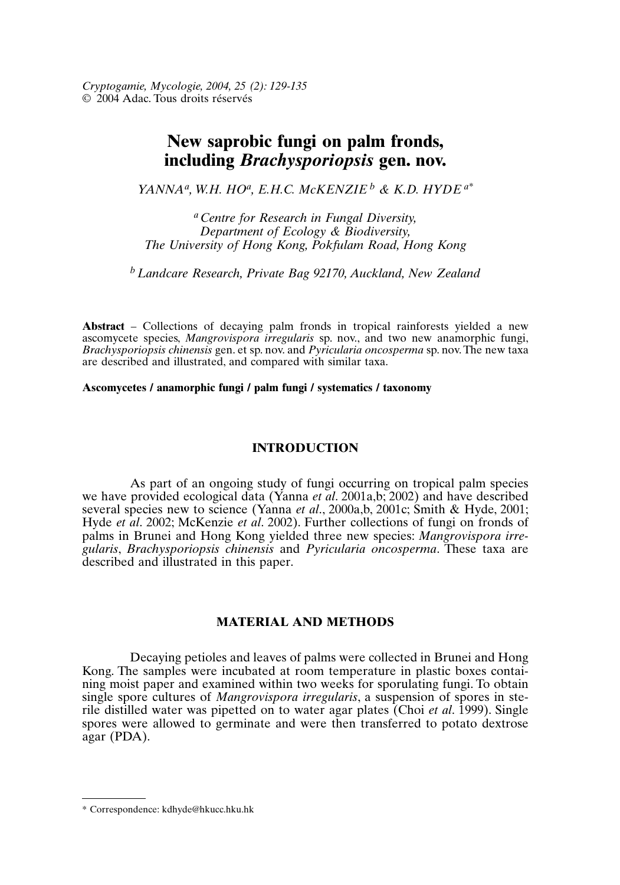# **New saprobic fungi on palm fronds, including** *Brachysporiopsis* **gen. nov.**

*YANNAa, W.H. HOa, E.H.C. McKENZIE <sup>b</sup> & K.D. HYDE a\**

*aCentre for Research in Fungal Diversity, Department of Ecology & Biodiversity, The University of Hong Kong, Pokfulam Road, Hong Kong*

*bLandcare Research, Private Bag 92170, Auckland, New Zealand*

**Abstract** – Collections of decaying palm fronds in tropical rainforests yielded a new ascomycete species, *Mangrovispora irregularis* sp. nov., and two new anamorphic fungi, *Brachysporiopsis chinensis* gen. et sp. nov. and *Pyricularia oncosperma* sp. nov. The new taxa are described and illustrated, and compared with similar taxa.

**Ascomycetes / anamorphic fungi / palm fungi / systematics / taxonomy**

# **INTRODUCTION**

As part of an ongoing study of fungi occurring on tropical palm species we have provided ecological data (Yanna *et al*. 2001a,b; 2002) and have described several species new to science (Yanna *et al*., 2000a,b, 2001c; Smith & Hyde, 2001; Hyde *et al*. 2002; McKenzie *et al*. 2002). Further collections of fungi on fronds of palms in Brunei and Hong Kong yielded three new species: *Mangrovispora irregularis*, *Brachysporiopsis chinensis* and *Pyricularia oncosperma*. These taxa are described and illustrated in this paper.

## **MATERIAL AND METHODS**

Decaying petioles and leaves of palms were collected in Brunei and Hong Kong. The samples were incubated at room temperature in plastic boxes containing moist paper and examined within two weeks for sporulating fungi. To obtain single spore cultures of *Mangrovispora irregularis*, a suspension of spores in sterile distilled water was pipetted on to water agar plates (Choi *et al*. 1999). Single spores were allowed to germinate and were then transferred to potato dextrose agar (PDA).

<sup>\*</sup> Correspondence: kdhyde@hkucc.hku.hk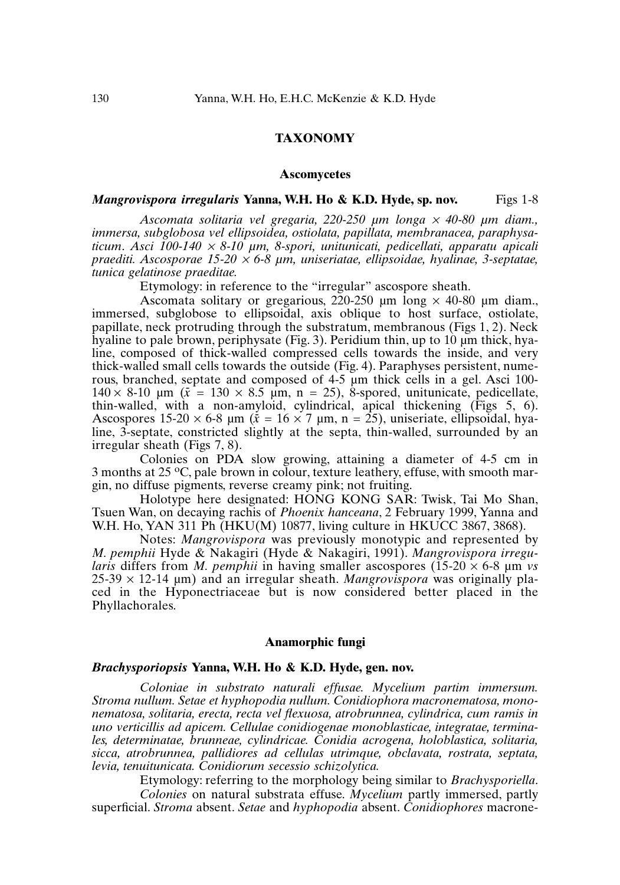## **TAXONOMY**

#### **Ascomycetes**

### *Mangrovispora irregularis* Yanna, W.H. Ho & K.D. Hyde, sp. nov. Figs 1-8

*Ascomata solitaria vel gregaria, 220-250 µm longa* <sup>×</sup> *40-80 µm diam., immersa, subglobosa vel ellipsoidea, ostiolata, papillata, membranacea, paraphysaticum*. *Asci 100-140* <sup>×</sup> *8-10 µm, 8-spori, unitunicati, pedicellati, apparatu apicali praediti. Ascosporae 15-20* <sup>×</sup> *6-8 µm, uniseriatae, ellipsoidae, hyalinae, 3-septatae, tunica gelatinose praeditae.*

Etymology: in reference to the "irregular" ascospore sheath.

Ascomata solitary or gregarious, 220-250  $\mu$ m long  $\times$  40-80  $\mu$ m diam. immersed, subglobose to ellipsoidal, axis oblique to host surface, ostiolate, papillate, neck protruding through the substratum, membranous (Figs 1, 2). Neck hyaline to pale brown, periphysate (Fig. 3). Peridium thin, up to 10  $\mu$ m thick, hyaline, composed of thick-walled compressed cells towards the inside, and very thick-walled small cells towards the outside (Fig. 4). Paraphyses persistent, numerous, branched, septate and composed of 4-5 µm thick cells in a gel. Asci 100- 140  $\times$  8-10  $\mu$ m ( $\bar{x}$  = 130  $\times$  8.5  $\mu$ m, n = 25), 8-spored, unitunicate, pedicellate, thin-walled, with a non-amyloid, cylindrical, apical thickening (Figs 5, 6). Ascospores  $15-20 \times 6-8$  µm ( $\bar{x} = 16 \times 7$  µm, n = 25), uniseriate, ellipsoidal, hyaline, 3-septate, constricted slightly at the septa, thin-walled, surrounded by an irregular sheath (Figs 7, 8).

Colonies on PDA slow growing, attaining a diameter of 4-5 cm in 3 months at 25 °C, pale brown in colour, texture leathery, effuse, with smooth margin, no diffuse pigments, reverse creamy pink; not fruiting.

Holotype here designated: HONG KONG SAR: Twisk, Tai Mo Shan, Tsuen Wan, on decaying rachis of *Phoenix hanceana*, 2 February 1999, Yanna and W.H. Ho, YAN 311 Ph (HKU(M) 10877, living culture in HKUCC 3867, 3868).

Notes: *Mangrovispora* was previously monotypic and represented by *M. pemphii* Hyde & Nakagiri (Hyde & Nakagiri, 1991). *Mangrovispora irregularis* differs from *M. pemphii* in having smaller ascospores (15-20  $\times$  6-8  $\mu$ m *vs*  $25-39 \times 12-14 \mu m$ ) and an irregular sheath. *Mangrovispora* was originally placed in the Hyponectriaceae but is now considered better placed in the Phyllachorales.

### **Anamorphic fungi**

### *Brachysporiopsis* **Yanna, W.H. Ho & K.D. Hyde, gen. nov.**

*Coloniae in substrato naturali effusae. Mycelium partim immersum. Stroma nullum. Setae et hyphopodia nullum. Conidiophora macronematosa, mononematosa, solitaria, erecta, recta vel flexuosa, atrobrunnea, cylindrica, cum ramis in uno verticillis ad apicem. Cellulae conidiogenae monoblasticae, integratae, terminales, determinatae, brunneae, cylindricae. Conidia acrogena, holoblastica, solitaria, sicca, atrobrunnea, pallidiores ad cellulas utrimque, obclavata, rostrata, septata, levia, tenuitunicata. Conidiorum secessio schizolytica.*

Etymology: referring to the morphology being similar to *Brachysporiella*. *Colonies* on natural substrata effuse. *Mycelium* partly immersed, partly superficial. *Stroma* absent. *Setae* and *hyphopodia* absent. *Conidiophores* macrone-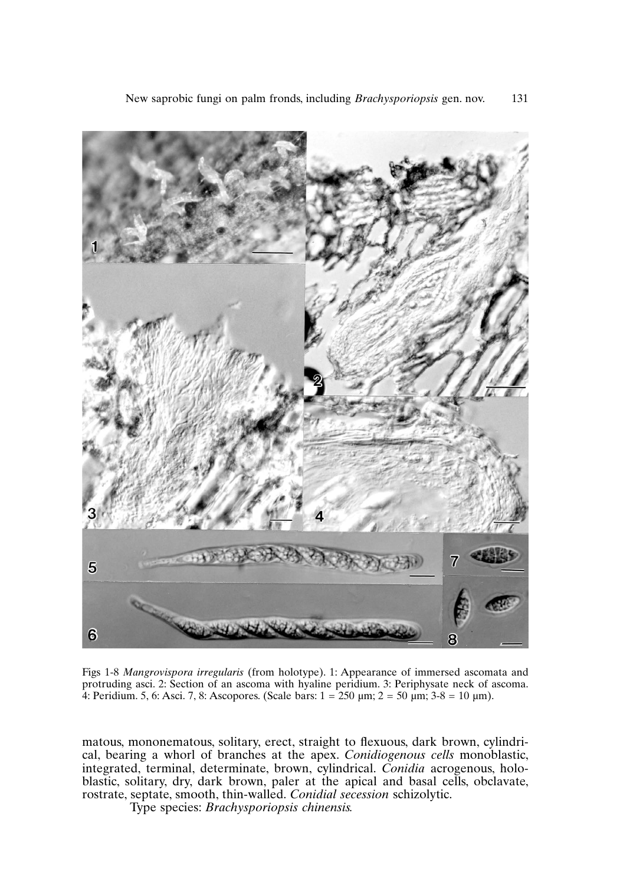

Figs 1-8 *Mangrovispora irregularis* (from holotype). 1: Appearance of immersed ascomata and protruding asci. 2: Section of an ascoma with hyaline peridium. 3: Periphysate neck of ascoma. 4: Peridium. 5, 6: Asci. 7, 8: Ascopores. (Scale bars:  $1 = 250 \text{ µm}$ ;  $2 = 50 \text{ µm}$ ;  $3-8 = 10 \text{ µm}$ ).

matous, mononematous, solitary, erect, straight to flexuous, dark brown, cylindrical, bearing a whorl of branches at the apex. *Conidiogenous cells* monoblastic, integrated, terminal, determinate, brown, cylindrical. *Conidia* acrogenous, holoblastic, solitary, dry, dark brown, paler at the apical and basal cells, obclavate, rostrate, septate, smooth, thin-walled. *Conidial secession* schizolytic.

Type species: *Brachysporiopsis chinensis.*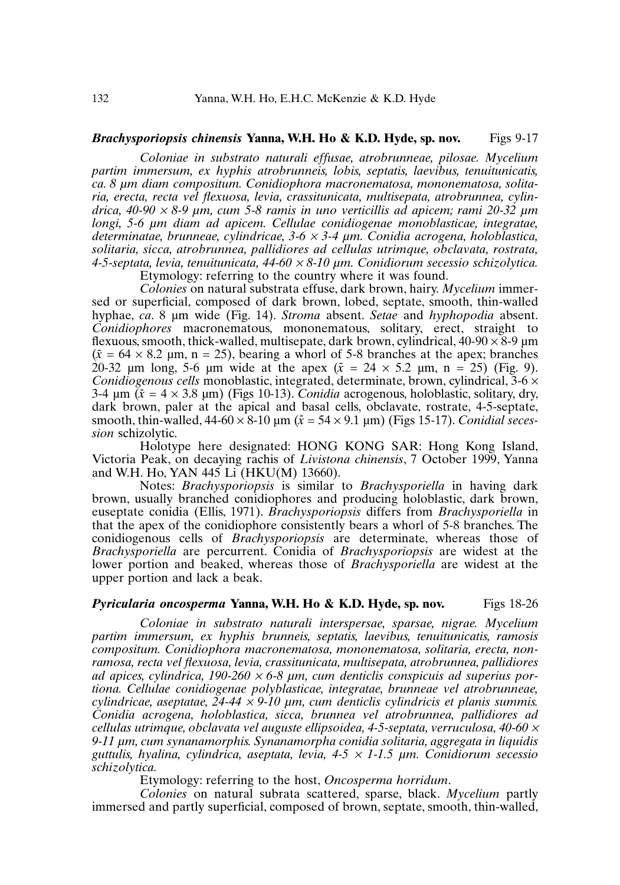### *Brachysporiopsis chinensis* **Yanna, W.H. Ho & K.D. Hyde, sp. nov.** Figs 9-17

*Coloniae in substrato naturali effusae, atrobrunneae, pilosae. Mycelium partim immersum, ex hyphis atrobrunneis, lobis, septatis, laevibus, tenuitunicatis, ca. 8 µm diam compositum. Conidiophora macronematosa, mononematosa, solitaria, erecta, recta vel flexuosa, levia, crassitunicata, multisepata, atrobrunnea, cylindrica, 40-90* <sup>×</sup> *8-9 µm, cum 5-8 ramis in uno verticillis ad apicem; rami 20-32 µm longi, 5-6 µm diam ad apicem. Cellulae conidiogenae monoblasticae, integratae, determinatae, brunneae, cylindricae, 3-6* <sup>×</sup> *3-4 µm. Conidia acrogena, holoblastica, solitaria, sicca, atrobrunnea, pallidiores ad cellulas utrimque, obclavata, rostrata, 4-5-septata, levia, tenuitunicata, 44-60* <sup>×</sup> *8-10 µm. Conidiorum secessio schizolytica.* Etymology: referring to the country where it was found.

*Colonies* on natural substrata effuse, dark brown, hairy. *Mycelium* immersed or superficial, composed of dark brown, lobed, septate, smooth, thin-walled hyphae, *ca*. 8 µm wide (Fig. 14). *Stroma* absent. *Setae* and *hyphopodia* absent. *Conidiophores* macronematous, mononematous, solitary, erect, straight to flexuous, smooth, thick-walled, multisepate, dark brown, cylindrical,  $40-90 \times 8-9 \mu m$  $(\bar{x} = 64 \times 8.2 \text{ µm}, \text{ n} = 25)$ , bearing a whorl of 5-8 branches at the apex; branches 20-32 µm long, 5-6 µm wide at the apex  $(\bar{x} = 24 \times 5.2 \text{ µm}, \text{ n} = 25)$  (Fig. 9). *Conidiogenous cells* monoblastic, integrated, determinate, brown, cylindrical,  $3-6 \times$  $3-4 \mu m$  ( $\bar{x} = 4 \times 3.8 \mu m$ ) (Figs 10-13). *Conidia* acrogenous, holoblastic, solitary, dry, dark brown, paler at the apical and basal cells, obclavate, rostrate, 4-5-septate, smooth, thin-walled,  $44-60 \times 8-10 \text{ µm}$   $(\bar{x} = 54 \times 9.1 \text{ µm})$  (Figs 15-17). *Conidial secession* schizolytic.

Holotype here designated: HONG KONG SAR: Hong Kong Island, Victoria Peak, on decaying rachis of *Livistona chinensis*, 7 October 1999, Yanna and W.H. Ho, YAN 445 Li (HKU(M) 13660).

Notes: *Brachysporiopsis* is similar to *Brachysporiella* in having dark brown, usually branched conidiophores and producing holoblastic, dark brown, euseptate conidia (Ellis, 1971). *Brachysporiopsis* differs from *Brachysporiella* in that the apex of the conidiophore consistently bears a whorl of 5-8 branches. The conidiogenous cells of *Brachysporiopsis* are determinate, whereas those of *Brachysporiella* are percurrent. Conidia of *Brachysporiopsis* are widest at the lower portion and beaked, whereas those of *Brachysporiella* are widest at the upper portion and lack a beak.

#### *Pyricularia oncosperma* **Yanna, W.H. Ho & K.D. Hyde, sp. nov.** Figs 18-26

*Coloniae in substrato naturali interspersae, sparsae, nigrae. Mycelium partim immersum, ex hyphis brunneis, septatis, laevibus, tenuitunicatis, ramosis compositum. Conidiophora macronematosa, mononematosa, solitaria, erecta, nonramosa, recta vel flexuosa, levia, crassitunicata, multisepata, atrobrunnea, pallidiores ad apices, cylindrica, 190-260* <sup>×</sup> *6-8 µm, cum denticlis conspicuis ad superius portiona. Cellulae conidiogenae polyblasticae, integratae, brunneae vel atrobrunneae, cylindricae, aseptatae, 24-44* <sup>×</sup> *9-10 µm, cum denticlis cylindricis et planis summis. Conidia acrogena, holoblastica, sicca, brunnea vel atrobrunnea, pallidiores ad cellulas utrimque, obclavata vel auguste ellipsoidea, 4-5-septata, verruculosa, 40-60* <sup>×</sup> *9-11 µm, cum synanamorphis. Synanamorpha conidia solitaria, aggregata in liquidis guttulis, hyalina, cylindrica, aseptata, levia, 4-5* <sup>×</sup> *1-1.5 µm. Conidiorum secessio schizolytica.*

Etymology: referring to the host, *Oncosperma horridum*.

*Colonies* on natural subrata scattered, sparse, black. *Mycelium* partly immersed and partly superficial, composed of brown, septate, smooth, thin-walled,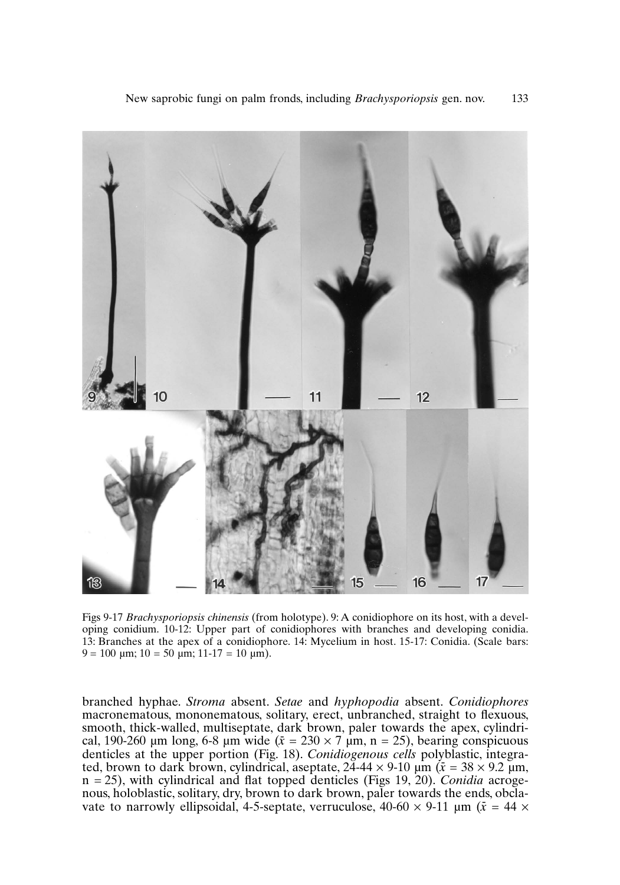

Figs 9-17 *Brachysporiopsis chinensis* (from holotype). 9: A conidiophore on its host, with a developing conidium. 10-12: Upper part of conidiophores with branches and developing conidia. 13: Branches at the apex of a conidiophore. 14: Mycelium in host. 15-17: Conidia. (Scale bars:  $9 = 100 \text{ µm}; 10 = 50 \text{ µm}; 11 - 17 = 10 \text{ µm}.$ 

branched hyphae. *Stroma* absent. *Setae* and *hyphopodia* absent. *Conidiophores* macronematous, mononematous, solitary, erect, unbranched, straight to flexuous, smooth, thick-walled, multiseptate, dark brown, paler towards the apex, cylindrical, 190-260  $\mu$ m long, 6-8  $\mu$ m wide ( $\bar{x} = 230 \times 7 \mu$ m, n = 25), bearing conspicuous denticles at the upper portion (Fig. 18). *Conidiogenous cells* polyblastic, integrated, brown to dark brown, cylindrical, aseptate,  $24-44 \times 9-10 \mu m$  ( $\bar{x} = 38 \times 9.2 \mu m$ , n = 25), with cylindrical and flat topped denticles (Figs 19, 20). *Conidia* acrogenous, holoblastic, solitary, dry, brown to dark brown, paler towards the ends, obclavate to narrowly ellipsoidal, 4-5-septate, verruculose,  $40{\text{-}}60 \times 9{\text{-}}11 \text{ }\mu\text{m}$  ( $\bar{x} = 44 \times$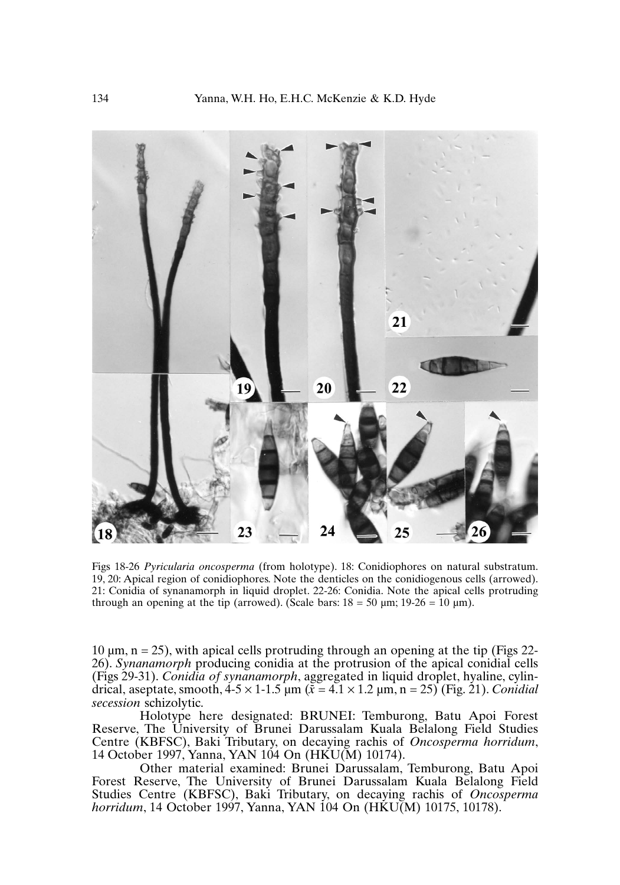

Figs 18-26 *Pyricularia oncosperma* (from holotype). 18: Conidiophores on natural substratum. 19, 20: Apical region of conidiophores. Note the denticles on the conidiogenous cells (arrowed). 21: Conidia of synanamorph in liquid droplet. 22-26: Conidia. Note the apical cells protruding through an opening at the tip (arrowed). (Scale bars:  $18 = 50 \text{ µm}$ ;  $19-26 = 10 \text{ µm}$ ).

10  $\mu$ m, n = 25), with apical cells protruding through an opening at the tip (Figs 22-26). *Synanamorph* producing conidia at the protrusion of the apical conidial cells (Figs 29-31). *Conidia of synanamorph*, aggregated in liquid droplet, hyaline, cylindrical, aseptate, smooth,  $4-5 \times 1-1.5$   $\mu$ m ( $\bar{x} = 4.1 \times 1.2$   $\mu$ m, n = 25) (Fig. 21). *Conidial secession* schizolytic.

Holotype here designated: BRUNEI: Temburong, Batu Apoi Forest Reserve, The University of Brunei Darussalam Kuala Belalong Field Studies Centre (KBFSC), Baki Tributary, on decaying rachis of *Oncosperma horridum*, 14 October 1997, Yanna, YAN 104 On (HKU(M) 10174).

Other material examined: Brunei Darussalam, Temburong, Batu Apoi Forest Reserve, The University of Brunei Darussalam Kuala Belalong Field Studies Centre (KBFSC), Baki Tributary, on decaying rachis of *Oncosperma horridum*, 14 October 1997, Yanna, YAN 104 On (HKU(M) 10175, 10178).